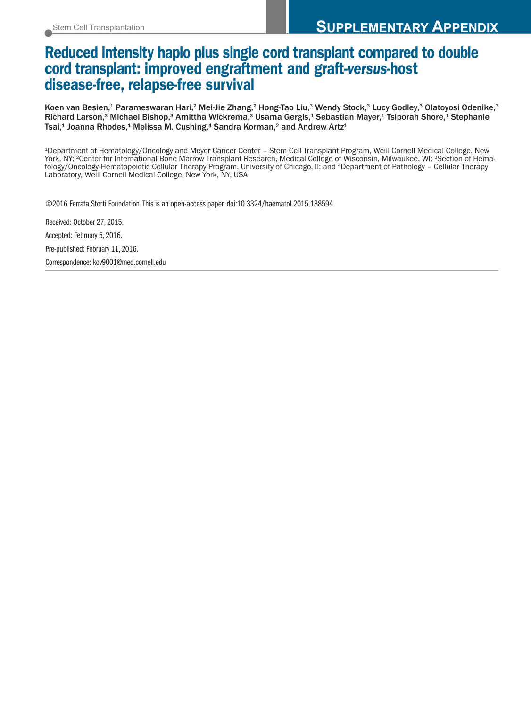## **Reduced intensity haplo plus single cord transplant compared to double cord transplant: improved engraftment and graft-***versus***-host disease-free, relapse-free survival**

Koen van Besien,<sup>1</sup> Parameswaran Hari,<sup>2</sup> Mei-Jie Zhang,<sup>2</sup> Hong-Tao Liu,<sup>3</sup> Wendy Stock,<sup>3</sup> Lucy Godley,<sup>3</sup> Olatoyosi Odenike,<sup>3</sup> Richard Larson,<sup>3</sup> Michael Bishop,<sup>3</sup> Amittha Wickrema,<sup>3</sup> Usama Gergis,<sup>1</sup> Sebastian Mayer,<sup>1</sup> Tsiporah Shore,<sup>1</sup> Stephanie Tsai,<sup>1</sup> Joanna Rhodes,<sup>1</sup> Melissa M. Cushing,<sup>4</sup> Sandra Korman,<sup>2</sup> and Andrew Artz<sup>1</sup>

1Department of Hematology/Oncology and Meyer Cancer Center – Stem Cell Transplant Program, Weill Cornell Medical College, New York, NY; <sup>2</sup>Center for International Bone Marrow Transplant Research, Medical College of Wisconsin, Milwaukee, WI; <sup>3</sup>Section of Hematology/Oncology-Hematopoietic Cellular Therapy Program, University of Chicago, Il; and 4Department of Pathology – Cellular Therapy Laboratory, Weill Cornell Medical College, New York, NY, USA

©2016 Ferrata Storti Foundation.This is an open-access paper. doi:10.3324/haematol.2015.138594

Received: October 27, 2015. Accepted: February 5, 2016. Pre-published: February 11, 2016. Correspondence: kov9001@med.cornell.edu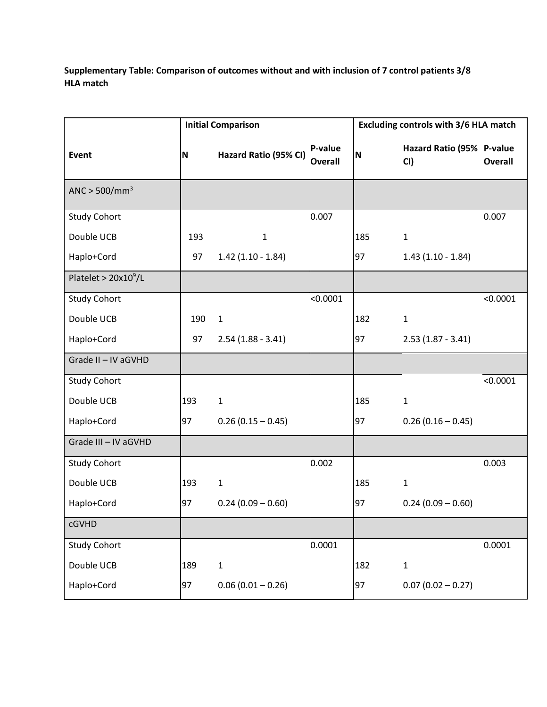**Supplementary Table: Comparison of outcomes without and with inclusion of 7 control patients 3/8 HLA match**

|                        | <b>Initial Comparison</b> |                       |                    | Excluding controls with 3/6 HLA match |                                  |                |  |
|------------------------|---------------------------|-----------------------|--------------------|---------------------------------------|----------------------------------|----------------|--|
| Event                  | <b>N</b>                  | Hazard Ratio (95% CI) | P-value<br>Overall | N                                     | Hazard Ratio (95% P-value<br>CI) | <b>Overall</b> |  |
| ANC > $500/mm^3$       |                           |                       |                    |                                       |                                  |                |  |
| <b>Study Cohort</b>    |                           |                       | 0.007              |                                       |                                  | 0.007          |  |
| Double UCB             | 193                       | $\mathbf 1$           |                    | 185                                   | $\mathbf{1}$                     |                |  |
| Haplo+Cord             | 97                        | $1.42$ (1.10 - 1.84)  |                    | 97                                    | $1.43(1.10 - 1.84)$              |                |  |
| Platelet > $20x10^9/L$ |                           |                       |                    |                                       |                                  |                |  |
| <b>Study Cohort</b>    |                           |                       | < 0.0001           |                                       |                                  | < 0.0001       |  |
| Double UCB             | 190                       | $\mathbf 1$           |                    | 182                                   | $\mathbf{1}$                     |                |  |
| Haplo+Cord             | 97                        | $2.54(1.88 - 3.41)$   |                    | 97                                    | $2.53(1.87 - 3.41)$              |                |  |
| Grade II - IV aGVHD    |                           |                       |                    |                                       |                                  |                |  |
| <b>Study Cohort</b>    |                           |                       |                    |                                       |                                  | < 0.0001       |  |
| Double UCB             | 193                       | $\mathbf{1}$          |                    | 185                                   | $\mathbf{1}$                     |                |  |
| Haplo+Cord             | 97                        | $0.26(0.15 - 0.45)$   |                    | 97                                    | $0.26(0.16 - 0.45)$              |                |  |
| Grade III - IV aGVHD   |                           |                       |                    |                                       |                                  |                |  |
| <b>Study Cohort</b>    |                           |                       | 0.002              |                                       |                                  | 0.003          |  |
| Double UCB             | 193                       | $\mathbf{1}$          |                    | 185                                   | $\mathbf{1}$                     |                |  |
| Haplo+Cord             | 97                        | $0.24(0.09 - 0.60)$   |                    | 97                                    | $0.24(0.09 - 0.60)$              |                |  |
| cGVHD                  |                           |                       |                    |                                       |                                  |                |  |
| <b>Study Cohort</b>    |                           |                       | 0.0001             |                                       |                                  | 0.0001         |  |
| Double UCB             | 189                       | $\mathbf 1$           |                    | 182                                   | $\mathbf{1}$                     |                |  |
| Haplo+Cord             | 97                        | $0.06(0.01 - 0.26)$   |                    | 97                                    | $0.07(0.02 - 0.27)$              |                |  |